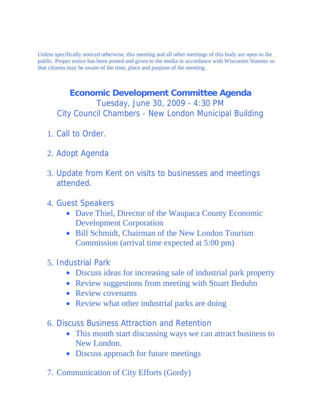Unless specifically noticed otherwise, this meeting and all other meetings of this body are open to the public. Proper notice has been posted and given to the media in accordance with Wisconsin Statutes so that citizens may be aware of the time, place and purpose of the meeting.

## **Economic Development Committee Agenda**

Tuesday, June 30, 2009 - 4:30 PM City Council Chambers - New London Municipal Building

- 1. Call to Order.
- 2. Adopt Agenda
- 3. Update from Kent on visits to businesses and meetings attended.
- 4. Guest Speakers
	- Dave Thiel, Director of the Waupaca County Economic Development Corporation
	- Bill Schmidt, Chairman of the New London Tourism Commission (arrival time expected at 5:00 pm)
- 5. Industrial Park
	- Discuss ideas for increasing sale of industrial park property
	- Review suggestions from meeting with Stuart Beduhn
	- Review covenants
	- Review what other industrial parks are doing
- 6. Discuss Business Attraction and Retention
	- This month start discussing ways we can attract business to New London.
	- Discuss approach for future meetings
- 7. Communication of City Efforts (Gordy)